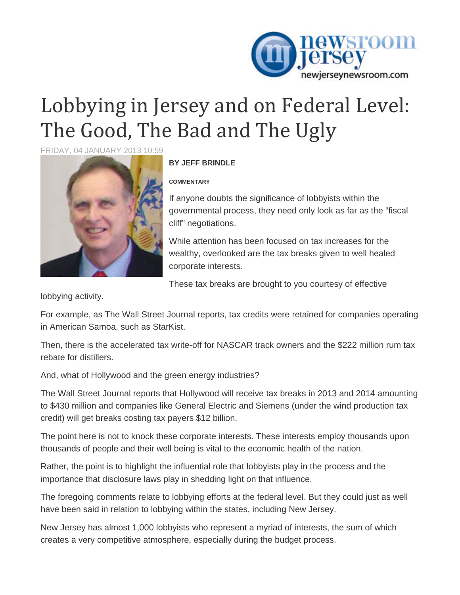

## Lobbying in Jersey and on Federal Level: The Good, The Bad and The Ugly

FRIDAY, 04 JANUARY 2013 10:59



## **BY JEFF BRINDLE**

## **COMMENTARY**

If anyone doubts the significance of lobbyists within the governmental process, they need only look as far as the "fiscal cliff" negotiations.

While attention has been focused on tax increases for the wealthy, overlooked are the tax breaks given to well healed corporate interests.

These tax breaks are brought to you courtesy of effective

lobbying activity.

For example, as The Wall Street Journal reports, tax credits were retained for companies operating in American Samoa, such as StarKist.

Then, there is the accelerated tax write-off for NASCAR track owners and the \$222 million rum tax rebate for distillers.

And, what of Hollywood and the green energy industries?

The Wall Street Journal reports that Hollywood will receive tax breaks in 2013 and 2014 amounting to \$430 million and companies like General Electric and Siemens (under the wind production tax credit) will get breaks costing tax payers \$12 billion.

The point here is not to knock these corporate interests. These interests employ thousands upon thousands of people and their well being is vital to the economic health of the nation.

Rather, the point is to highlight the influential role that lobbyists play in the process and the importance that disclosure laws play in shedding light on that influence.

The foregoing comments relate to lobbying efforts at the federal level. But they could just as well have been said in relation to lobbying within the states, including New Jersey.

New Jersey has almost 1,000 lobbyists who represent a myriad of interests, the sum of which creates a very competitive atmosphere, especially during the budget process.